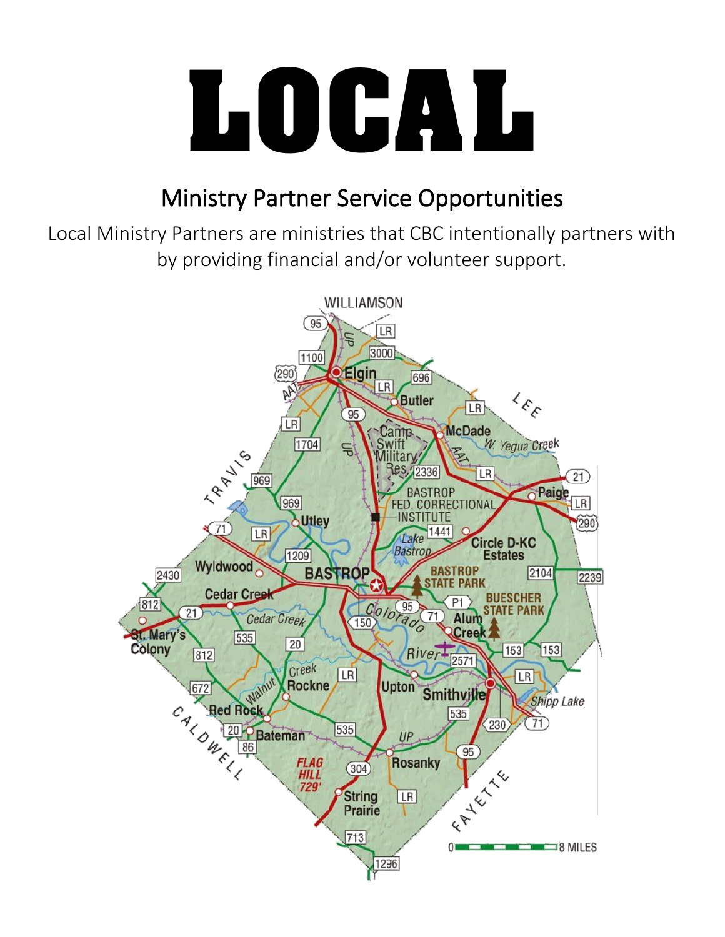

# Ministry Partner Service Opportunities

Local Ministry Partners are ministries that CBC intentionally partners with by providing financial and/or volunteer support.

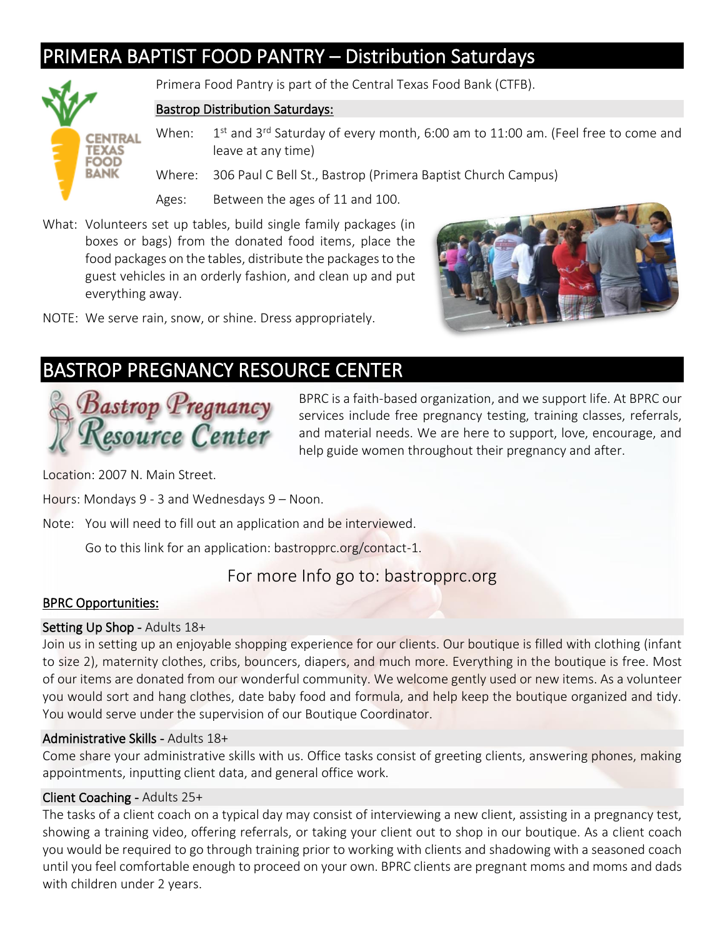### PRIMERA BAPTIST FOOD PANTRY – Distribution Saturdays



Primera Food Pantry is part of the Central Texas Food Bank (CTFB).

#### Bastrop Distribution Saturdays:

When: 1st and 3rd Saturday of every month, 6:00 am to 11:00 am. (Feel free to come and leave at any time)

Where: 306 Paul C Bell St., Bastrop (Primera Baptist Church Campus)

Ages: Between the ages of 11 and 100.

- What: Volunteers set up tables, build single family packages (in boxes or bags) from the donated food items, place the food packages on the tables, distribute the packages to the guest vehicles in an orderly fashion, and clean up and put everything away.
- NOTE: We serve rain, snow, or shine. Dress appropriately.



### BASTROP PREGNANCY RESOURCE CENTER



BPRC is a faith-based organization, and we support life. At BPRC our services include free pregnancy testing, training classes, referrals, and material needs. We are here to support, love, encourage, and help guide women throughout their pregnancy and after.

Location: 2007 N. Main Street.

Hours: Mondays 9 - 3 and Wednesdays 9 – Noon.

Note: You will need to fill out an application and be interviewed.

Go to this link for an application: bastropprc.org/contact-1.

### For more Info go to: bastropprc.org

### BPRC Opportunities:

### Setting Up Shop - Adults 18+

Join us in setting up an enjoyable shopping experience for our clients. Our boutique is filled with clothing (infant to size 2), maternity clothes, cribs, bouncers, diapers, and much more. Everything in the boutique is free. Most of our items are donated from our wonderful community. We welcome gently used or new items. As a volunteer you would sort and hang clothes, date baby food and formula, and help keep the boutique organized and tidy. You would serve under the supervision of our Boutique Coordinator.

### Administrative Skills - Adults 18+

Come share your administrative skills with us. Office tasks consist of greeting clients, answering phones, making appointments, inputting client data, and general office work.

### Client Coaching - Adults 25+

The tasks of a client coach on a typical day may consist of interviewing a new client, assisting in a pregnancy test, showing a training video, offering referrals, or taking your client out to shop in our boutique. As a client coach you would be required to go through training prior to working with clients and shadowing with a seasoned coach until you feel comfortable enough to proceed on your own. BPRC clients are pregnant moms and moms and dads with children under 2 years.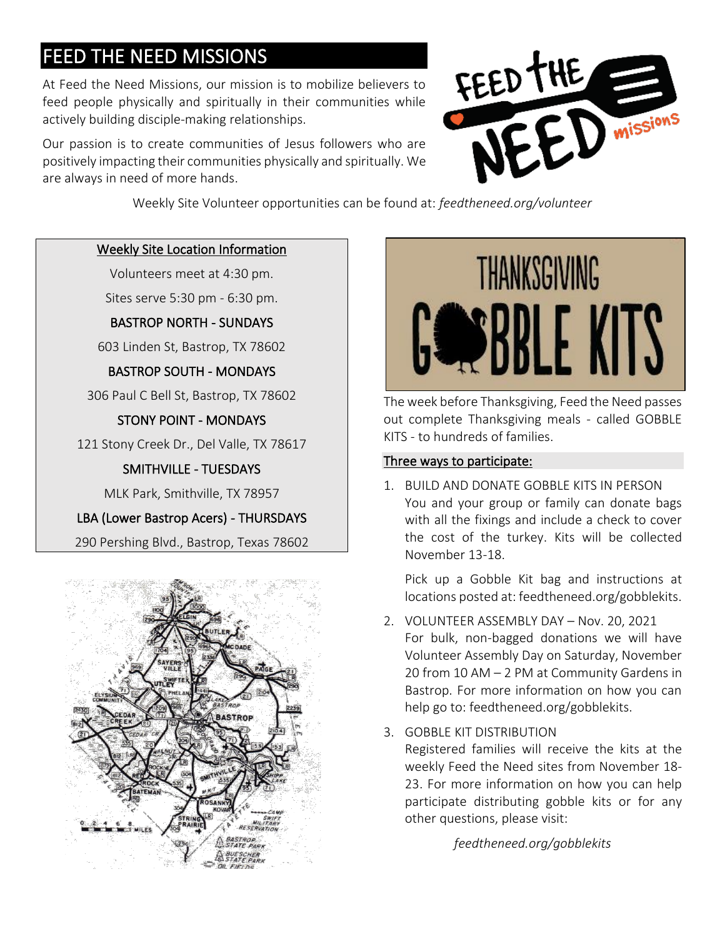### FEED THE NEED MISSIONS

At Feed the Need Missions, our mission is to mobilize believers to feed people physically and spiritually in their communities while actively building disciple-making relationships.

Our passion is to create communities of Jesus followers who are positively impacting their communities physically and spiritually. We are always in need of more hands.



Weekly Site Volunteer opportunities can be found at: *feedtheneed.org/volunteer*

### Weekly Site Location Information

Volunteers meet at 4:30 pm.

Sites serve 5:30 pm - 6:30 pm.

BASTROP NORTH - SUNDAYS

603 Linden St, Bastrop, TX 78602

BASTROP SOUTH - MONDAYS

306 Paul C Bell St, Bastrop, TX 78602

### STONY POINT - MONDAYS

121 Stony Creek Dr., Del Valle, TX 78617

### SMITHVILLE - TUESDAYS

MLK Park, Smithville, TX 78957

### LBA (Lower Bastrop Acers) - THURSDAYS

290 Pershing Blvd., Bastrop, Texas 78602





The week before Thanksgiving, Feed the Need passes out complete Thanksgiving meals - called GOBBLE KITS - to hundreds of families.

#### Three ways to participate:

1. BUILD AND DONATE GOBBLE KITS IN PERSON You and your group or family can donate bags with all the fixings and include a check to cover the cost of the turkey. Kits will be collected November 13-18.

Pick up a Gobble Kit bag and instructions at locations posted at: feedtheneed.org/gobblekits.

- 2. VOLUNTEER ASSEMBLY DAY Nov. 20, 2021 For bulk, non-bagged donations we will have Volunteer Assembly Day on Saturday, November 20 from 10 AM – 2 PM at Community Gardens in Bastrop. For more information on how you can help go to: feedtheneed.org/gobblekits.
- 3. GOBBLE KIT DISTRIBUTION

Registered families will receive the kits at the weekly Feed the Need sites from November 18- 23. For more information on how you can help participate distributing gobble kits or for any other questions, please visit:

*feedtheneed.org/gobblekits*